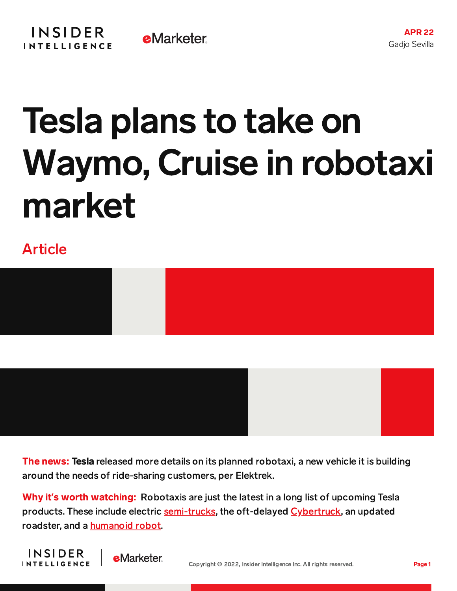## Tesla plans to take on Waymo, Cruise in robotaxi market

## Article



The news: Tesla released more details on its planned robotaxi, a new vehicle it is building around the needs of ride-sharing customers, per Elektrek.

Why it's worth watching: Robotaxis are just the latest in a long list of upcoming Tesla products. These include electric [semi-trucks,](https://electrek.co/guides/tesla-semi/) the oft-delayed [Cybertruck,](https://content-na2.emarketer.com/tesla-s-cybertruck-gets-bounced-2023-ev-truck-market-intensifies) an updated roadster, and a [humanoid](https://content-na2.emarketer.com/tesla-ceo-elon-musk-promises-humanoid-robot-next-year) robot.



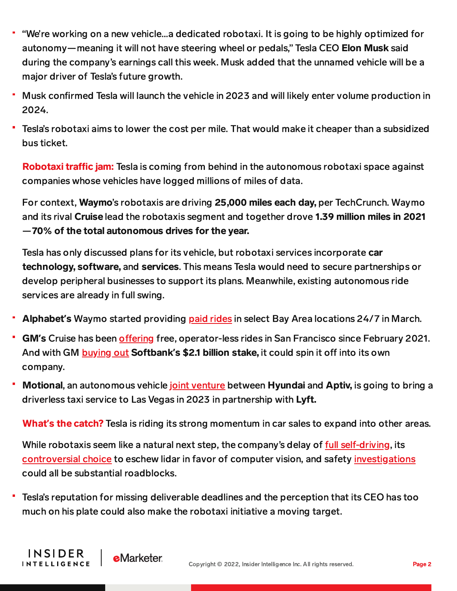- "We're working on a new vehicle…a dedicated robotaxi. It is going to be highly optimized for autonomy—meaning it will not have steering wheel or pedals," Tesla CEO Elon Musk said during the company's earnings call this week. Musk added that the unnamed vehicle will be a major driver of Tesla's future growth.
- Musk confirmed Tesla will launch the vehicle in 2023 and will likely enter volume production in 2024.
- Tesla's robotaxi aims to lower the cost per mile. That would make it cheaper than a subsidized bus ticket.

Robotaxi traffic jam: Tesla is coming from behind in the autonomous robotaxi space against companies whose vehicles have logged millions of miles of data.

For context, Waymo's robotaxis are driving 25,000 miles each day, per TechCrunch. Waymo and its rival Cruise lead the robotaxis segment and together drove 1.39 million miles in 2021 —70% of the total autonomous drives for the year.

Tesla has only discussed plans for its vehicle, but robotaxi services incorporate car technology, software, and services. This means Tesla would need to secure partnerships or develop peripheral businesses to support its plans. Meanwhile, existing autonomous ride services are already in full swing.

- Alphabet**'**s Waymo started providing paid [rides](https://content-na2.emarketer.com/waymo-gets-green-light-charge-robotaxis-san-francisco) in select Bay Area locations 24/7 in March.
- GM's Cruise has been offering free, operator-less rides in San Francisco since February 2021. And with GM **[buying](https://content-na2.emarketer.com/gm-buy-softbank-s-stake-cruise) out Softbank's \$2.1 billion stake**, it could spin it off into its own company.
- Motional, an autonomous vehicle joint [venture](https://content-na2.emarketer.com/microsoft-takes-on-chrome-os-with-windows-11-se-education-250-surface-laptop-students) between Hyundai and Aptiv, is going to bring a driverless taxi service to Las Vegas in 2023 in partnership with Lyft.

What**'**s the catch? Tesla is riding its strong momentum in car sales to expand into other areas.

While robotaxis seem like a natural next step, the company's delay of full [self-driving,](https://www.barrons.com/articles/tesla-stock-full-self-driving-51649420903) its [controversial](https://www.thedrive.com/tech/43779/this-tesla-model-y-dummy-crash-shows-exactly-why-lidar-matters) choice to eschew lidar in favor of computer vision, and safety [investigations](https://electrek.co/2022/02/17/tesla-nhtsa-investigation-autopilot-phantom-braking-problem/) could all be substantial roadblocks.

Tesla's reputation for missing deliverable deadlines and the perception that its CEO has too ۳ much on his plate could also make the robotaxi initiative a moving target.

**INSIDER** 

**INTELLIGENCE**